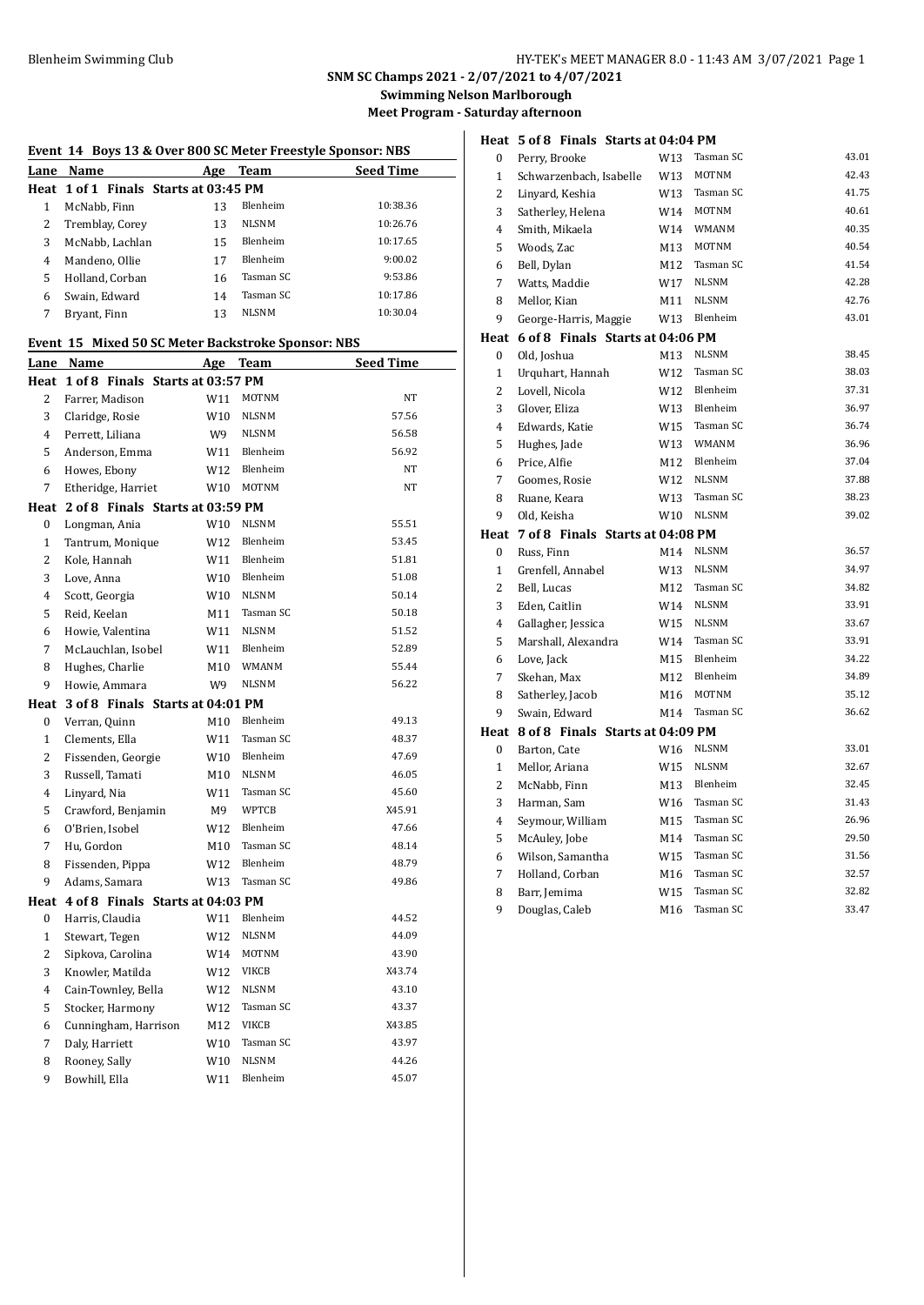**Heat 5 of 8 Finals Starts at 04:04 PM**

# **SNM SC Champs 2021 - 2/07/2021 to 4/07/2021**

**Swimming Nelson Marlborough**

**Meet Program - Saturday afternoon**

|                | Event 14 Boys 13 & Over 800 SC Meter Freestyle Sponsor: NBS |     |              |                  |
|----------------|-------------------------------------------------------------|-----|--------------|------------------|
| Lane           | Name                                                        | Age | <b>Team</b>  | <b>Seed Time</b> |
| Heat           | 1 of 1 Finals Starts at 03:45 PM                            |     |              |                  |
| $\mathbf{1}$   | McNabb, Finn                                                | 13  | Blenheim     | 10:38.36         |
| $\overline{c}$ | Tremblay, Corey                                             | 13  | <b>NLSNM</b> | 10:26.76         |
| 3              | McNabb, Lachlan                                             | 15  | Blenheim     | 10:17.65         |
| $\overline{4}$ | Mandeno, Ollie                                              | 17  | Blenheim     | 9:00.02          |
| 5              | Holland, Corban                                             | 16  | Tasman SC    | 9:53.86          |
| 6              | Swain, Edward                                               | 14  | Tasman SC    | 10:17.86         |
| 7              | Bryant, Finn                                                | 13  | <b>NLSNM</b> | 10:30.04         |
|                | Event 15 Mixed 50 SC Meter Backstroke Sponsor: NBS          |     |              |                  |
| Lane           | Name                                                        | Age | <b>Team</b>  | <b>Seed Time</b> |
| Heat           | 1 of 8 Finals Starts at 03:57 PM                            |     |              |                  |
| $\overline{2}$ | Farrer, Madison                                             | W11 | MOTNM        | NT               |
| 3              | Claridge, Rosie                                             | W10 | <b>NLSNM</b> | 57.56            |
| $\overline{4}$ | Perrett, Liliana                                            | W9  | <b>NLSNM</b> | 56.58            |
| 5              | Anderson, Emma                                              | W11 | Blenheim     | 56.92            |
| 6              | Howes, Ebony                                                | W12 | Blenheim     | NT               |
| 7              | Etheridge, Harriet                                          | W10 | MOTNM        | NT               |
| Heat           | 2 of 8 Finals Starts at 03:59 PM                            |     |              |                  |
| 0              | Longman, Ania                                               | W10 | <b>NLSNM</b> | 55.51            |
| $\mathbf{1}$   | Tantrum, Monique                                            | W12 | Blenheim     | 53.45            |
| $\overline{c}$ | Kole, Hannah                                                | W11 | Blenheim     | 51.81            |
| 3              | Love, Anna                                                  | W10 | Blenheim     | 51.08            |
| $\overline{4}$ | Scott, Georgia                                              | W10 | <b>NLSNM</b> | 50.14            |
| 5              | Reid, Keelan                                                | M11 | Tasman SC    | 50.18            |
| 6              | Howie, Valentina                                            | W11 | <b>NLSNM</b> | 51.52            |
| 7              | McLauchlan, Isobel                                          | W11 | Blenheim     | 52.89            |
| 8              | Hughes, Charlie                                             | M10 | <b>WMANM</b> | 55.44            |
| 9              | Howie, Ammara                                               | W9  | <b>NLSNM</b> | 56.22            |
| Heat           | 3 of 8 Finals Starts at 04:01 PM                            |     |              |                  |
| $\mathbf{0}$   | Verran, Quinn                                               | M10 | Blenheim     | 49.13            |
| 1              | Clements, Ella                                              | W11 | Tasman SC    | 48.37            |

 Fissenden, Georgie W10 Blenheim 47.69 3 Russell, Tamati M10 NLSNM 46.05 Linyard, Nia W11 Tasman SC 45.60 Crawford, Benjamin M9 WPTCB X45.91 O'Brien, Isobel W12 Blenheim 47.66 7 Hu, Gordon M10 Tasman SC 48.14 Fissenden, Pippa W12 Blenheim 48.79 9 Adams, Samara W13 Tasman SC 49.86

 Harris, Claudia W11 Blenheim 44.52 1 Stewart, Tegen W12 NLSNM 44.09 Sipkova, Carolina W14 MOTNM 43.90 Knowler, Matilda W12 VIKCB X43.74 Cain-Townley, Bella W12 NLSNM 43.10 Stocker, Harmony W12 Tasman SC 43.37 Cunningham, Harrison M12 VIKCB X43.85 7 Daly, Harriett W10 Tasman SC 43.97 8 Rooney, Sally W10 NLSNM 44.26 Bowhill, Ella W11 Blenheim 45.07

**Heat 4 of 8 Finals Starts at 04:03 PM**

| 0              | Perry, Brooke                    | W13             | Tasman SC              | 43.01          |
|----------------|----------------------------------|-----------------|------------------------|----------------|
| 1              | Schwarzenbach, Isabelle          | W13             | MOTNM                  | 42.43          |
| 2              | Linyard, Keshia                  | W13             | Tasman SC              | 41.75          |
| 3              | Satherley, Helena                | W14             | <b>MOTNM</b>           | 40.61          |
| 4              | Smith, Mikaela                   | W14             | WMANM                  | 40.35          |
| 5              | Woods, Zac                       | M13             | <b>MOTNM</b>           | 40.54          |
| 6              | Bell, Dylan                      | M12             | Tasman SC              | 41.54          |
| 7              | Watts, Maddie                    | W17             | <b>NLSNM</b>           | 42.28          |
| 8              | Mellor, Kian                     | M11             | <b>NLSNM</b>           | 42.76          |
| 9              | George-Harris, Maggie            | W13             | Blenheim               | 43.01          |
| Heat           | 6 of 8 Finals Starts at 04:06 PM |                 |                        |                |
| 0              | Old, Joshua                      | M13             | <b>NLSNM</b>           | 38.45          |
| $\mathbf{1}$   | Urquhart, Hannah                 | W12             | Tasman SC              | 38.03          |
| 2              | Lovell, Nicola                   | W12             | Blenheim               | 37.31          |
| 3              | Glover, Eliza                    | W13             | Blenheim               | 36.97          |
| 4              | Edwards, Katie                   | W15             | Tasman SC              | 36.74          |
| 5              | Hughes, Jade                     | W13             | <b>WMANM</b>           | 36.96          |
| 6              | Price, Alfie                     | M12             | Blenheim               | 37.04          |
| 7              | Goomes, Rosie                    | W12             | <b>NLSNM</b>           | 37.88          |
| 8              | Ruane, Keara                     | W13             | Tasman SC              | 38.23          |
| 9              | Old, Keisha                      | W10             | <b>NLSNM</b>           | 39.02          |
| Heat           | 7 of 8 Finals Starts at 04:08 PM |                 |                        |                |
|                |                                  |                 |                        |                |
| 0              | Russ, Finn                       | M14             | <b>NLSNM</b>           | 36.57          |
| $\mathbf{1}$   | Grenfell, Annabel                | W13             | <b>NLSNM</b>           | 34.97          |
| $\overline{2}$ | Bell, Lucas                      | M12             | Tasman SC              | 34.82          |
| 3              | Eden, Caitlin                    | W14             | <b>NLSNM</b>           | 33.91          |
| 4              | Gallagher, Jessica               | W15             | <b>NLSNM</b>           | 33.67          |
| 5              | Marshall, Alexandra              | W14             | Tasman SC              | 33.91          |
| 6              | Love, Jack                       | M15             | Blenheim               | 34.22          |
| 7              | Skehan, Max                      | M12             | Blenheim               | 34.89          |
| 8              | Satherley, Jacob                 | M16             | <b>MOTNM</b>           | 35.12          |
| 9              | Swain, Edward                    | M14             | Tasman SC              | 36.62          |
| Heat           | 8 of 8 Finals Starts at 04:09 PM |                 |                        |                |
| 0              | Barton, Cate                     | W16             | <b>NLSNM</b>           | 33.01          |
| $\mathbf{1}$   | Mellor, Ariana                   | W15             | <b>NLSNM</b>           | 32.67          |
| 2              | McNabb, Finn                     | M13             | Blenheim               | 32.45          |
| 3              | Harman, Sam                      | W <sub>16</sub> | Tasman SC              | 31.43          |
| 4              | Seymour, William                 | M15             | Tasman SC              | 26.96          |
| 5              | McAuley, Jobe                    | M14             | Tasman SC              | 29.50          |
| 6              | Wilson, Samantha                 | W15             | Tasman SC              | 31.56          |
| 7              | Holland, Corban                  | M16             | Tasman SC              | 32.57          |
| 8<br>9         | Barr, Jemima<br>Douglas, Caleb   | W15<br>M16      | Tasman SC<br>Tasman SC | 32.82<br>33.47 |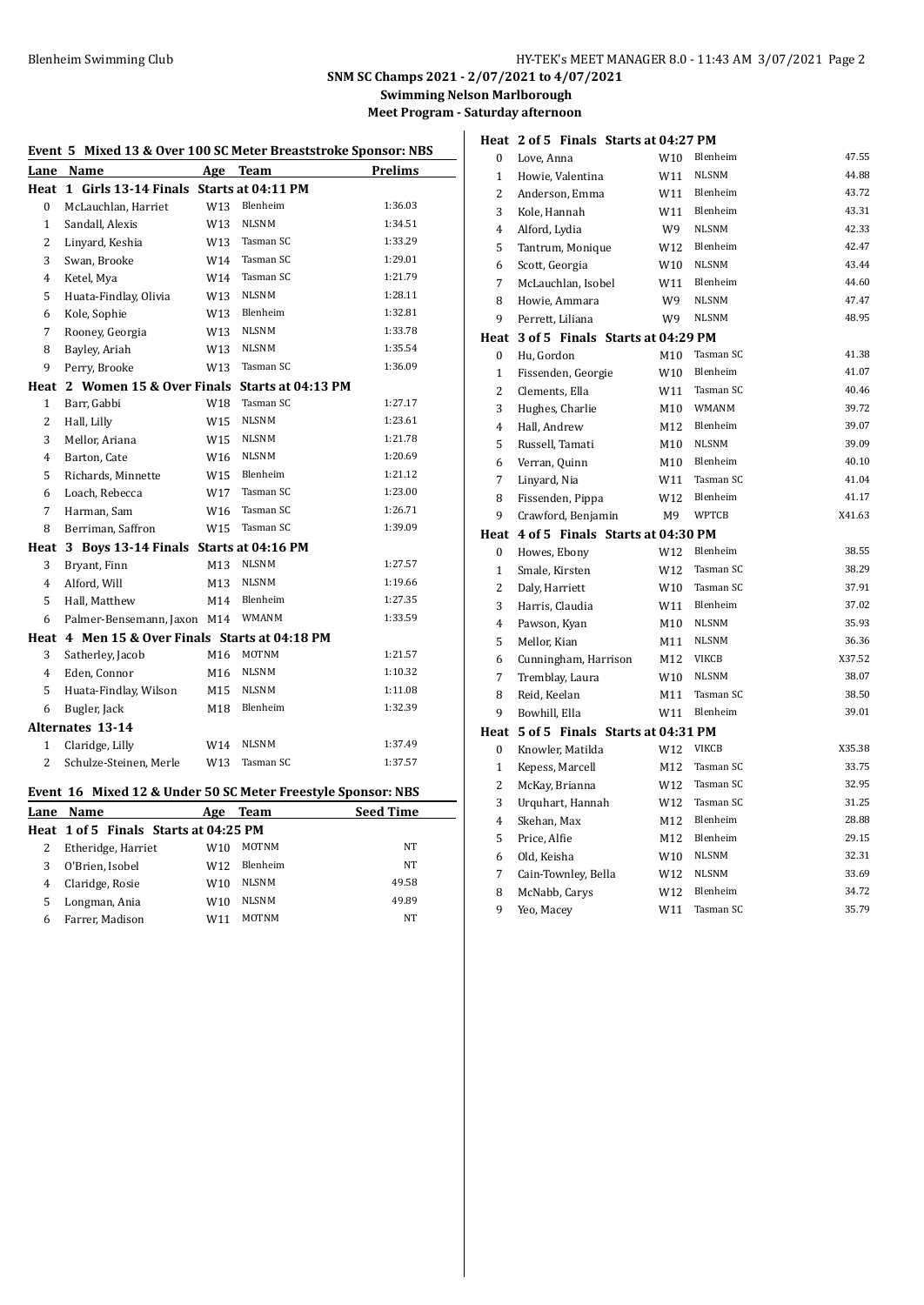Love, Anna W10 Blenheim 47.55 Howie, Valentina W11 NLSNM 44.88 2 Anderson, Emma W11 Blenheim 43.72<br>3 Kole Hannah W11 Blenheim 43.31 Kole, Hannah W11 Blenheim 43.31 Alford, Lydia W9 NLSNM 42.33 Tantrum, Monique W12 Blenheim 42.47 Scott, Georgia W10 NLSNM 43.44 McLauchlan, Isobel W11 Blenheim 44.60 8 Howie, Ammara W9 NLSNM 47.47 Perrett, Liliana W9 NLSNM 48.95

0 Hu, Gordon M10 Tasman SC 41.38 Fissenden, Georgie W10 Blenheim 41.07 2 Clements, Ella W11 Tasman SC 40.46 3 Hughes, Charlie M10 WMANM 39.72 Hall, Andrew M12 Blenheim 39.07 5 Russell, Tamati M10 NLSNM 39.09 Verran, Quinn M10 Blenheim 40.10 Linyard, Nia W11 Tasman SC 41.04 8 Fissenden, Pippa W12 Blenheim 41.17 9 Crawford, Benjamin M9 WPTCB X41.63

Howes, Ebony W12 Blenheim 38.55

**SNM SC Champs 2021 - 2/07/2021 to 4/07/2021**

**Swimming Nelson Marlborough**

**Meet Program - Saturday afternoon**

| Event 5 Mixed 13 & Over 100 SC Meter Breaststroke Sponsor: NBS |                                                              |     |              |                  |  |
|----------------------------------------------------------------|--------------------------------------------------------------|-----|--------------|------------------|--|
|                                                                | Lane Name                                                    |     | Age Team     | Prelims          |  |
|                                                                | Heat 1 Girls 13-14 Finals Starts at 04:11 PM                 |     |              |                  |  |
| 0                                                              | McLauchlan, Harriet                                          | W13 | Blenheim     | 1:36.03          |  |
| $\mathbf{1}$                                                   | Sandall, Alexis                                              | W13 | <b>NLSNM</b> | 1:34.51          |  |
| 2                                                              | Linyard, Keshia                                              | W13 | Tasman SC    | 1:33.29          |  |
| 3                                                              | Swan, Brooke                                                 | W14 | Tasman SC    | 1:29.01          |  |
| 4                                                              | Ketel, Mya                                                   | W14 | Tasman SC    | 1:21.79          |  |
| 5                                                              | Huata-Findlay, Olivia                                        | W13 | <b>NLSNM</b> | 1:28.11          |  |
| 6                                                              | Kole, Sophie                                                 | W13 | Blenheim     | 1:32.81          |  |
| 7                                                              | Rooney, Georgia                                              | W13 | <b>NLSNM</b> | 1:33.78          |  |
| 8                                                              | Bayley, Ariah                                                | W13 | <b>NLSNM</b> | 1:35.54          |  |
| 9                                                              | Perry, Brooke                                                | W13 | Tasman SC    | 1:36.09          |  |
|                                                                | Heat 2 Women 15 & Over Finals Starts at 04:13 PM             |     |              |                  |  |
| $\mathbf{1}$                                                   | Barr, Gabbi                                                  | W18 | Tasman SC    | 1:27.17          |  |
| 2                                                              | Hall, Lilly                                                  | W15 | <b>NLSNM</b> | 1:23.61          |  |
| 3                                                              | Mellor, Ariana                                               | W15 | <b>NLSNM</b> | 1:21.78          |  |
| 4                                                              | Barton, Cate                                                 | W16 | <b>NLSNM</b> | 1:20.69          |  |
| 5                                                              | Richards, Minnette                                           | W15 | Blenheim     | 1:21.12          |  |
| 6                                                              | Loach, Rebecca                                               | W17 | Tasman SC    | 1:23.00          |  |
| 7                                                              | Harman, Sam                                                  | W16 | Tasman SC    | 1:26.71          |  |
| 8                                                              | Berriman, Saffron                                            | W15 | Tasman SC    | 1:39.09          |  |
| Heat                                                           | 3 Boys 13-14 Finals Starts at 04:16 PM                       |     |              |                  |  |
| 3                                                              | Bryant, Finn                                                 | M13 | <b>NLSNM</b> | 1:27.57          |  |
| 4                                                              | Alford, Will                                                 | M13 | <b>NLSNM</b> | 1:19.66          |  |
| 5                                                              | Hall, Matthew                                                | M14 | Blenheim     | 1:27.35          |  |
| 6                                                              | Palmer-Bensemann, Jaxon M14                                  |     | <b>WMANM</b> | 1:33.59          |  |
|                                                                | Heat 4 Men 15 & Over Finals Starts at 04:18 PM               |     |              |                  |  |
| 3                                                              | Satherley, Jacob                                             | M16 | MOTNM        | 1:21.57          |  |
| 4                                                              | Eden, Connor                                                 | M16 | <b>NLSNM</b> | 1:10.32          |  |
| 5                                                              | Huata-Findlay, Wilson                                        | M15 | NLSNM        | 1:11.08          |  |
| 6                                                              | Bugler, Jack                                                 | M18 | Blenheim     | 1:32.39          |  |
|                                                                | <b>Alternates 13-14</b>                                      |     |              |                  |  |
| $\mathbf{1}$                                                   | Claridge, Lilly                                              | W14 | <b>NLSNM</b> | 1:37.49          |  |
| $\overline{c}$                                                 | Schulze-Steinen, Merle                                       | W13 | Tasman SC    | 1:37.57          |  |
|                                                                | Event 16 Mixed 12 & Under 50 SC Meter Freestyle Sponsor: NBS |     |              |                  |  |
|                                                                | Lane Name                                                    |     | Age Team     | <b>Seed Time</b> |  |
|                                                                | Heat 1 of 5 Finals Starts at 04:25 PM                        |     |              |                  |  |
| $\overline{2}$                                                 | Etheridge, Harriet                                           | W10 | <b>MOTNM</b> | NT               |  |
| $\mathbf{R}$                                                   | O'Brien Isobel                                               | W12 | Blenheim     | NT               |  |

Farrer, Madison W11 MOTNM NT

| 3  | Bryant, Finn                                               | M13 | NLSNM        | 1:27.57          |              | Smale, Kirsten                        | W12             | Tasman SC    | 38.29  |
|----|------------------------------------------------------------|-----|--------------|------------------|--------------|---------------------------------------|-----------------|--------------|--------|
| 4  | Alford, Will                                               | M13 | <b>NLSNM</b> | 1:19.66          | 2            | Daly, Harriett                        | W10             | Tasman SC    | 37.91  |
| 5  | Hall, Matthew                                              | M14 | Blenheim     | 1:27.35          | 3            | Harris, Claudia                       | W11             | Blenheim     | 37.02  |
|    | 6 Palmer-Bensemann, Jaxon M14                              |     | WMANM        | 1:33.59          | 4            | Pawson, Kyan                          | M10             | <b>NLSNM</b> | 35.93  |
|    | eat 4 Men 15 & Over Finals Starts at 04:18 PM              |     |              |                  | 5            | Mellor, Kian                          | M11             | <b>NLSNM</b> | 36.36  |
| 3  | Satherley, Jacob                                           | M16 | MOTNM        | 1:21.57          | 6            | Cunningham, Harrison                  | M12             | <b>VIKCB</b> | X37.52 |
| 4  | Eden, Connor                                               | M16 | NLSNM        | 1:10.32          |              | Tremblay, Laura                       | W <sub>10</sub> | <b>NLSNM</b> | 38.07  |
| 5. | Huata-Findlay, Wilson                                      | M15 | NLSNM        | 1:11.08          | 8            | Reid, Keelan                          | M11             | Tasman SC    | 38.50  |
|    | 6 Bugler, Jack                                             | M18 | Blenheim     | 1:32.39          | 9            | Bowhill, Ella                         | W11             | Blenheim     | 39.01  |
|    | ternates 13-14                                             |     |              |                  |              | Heat 5 of 5 Finals Starts at 04:31 PM |                 |              |        |
|    | 1 Claridge, Lilly                                          | W14 | NLSNM        | 1:37.49          | $\mathbf{0}$ | Knowler, Matilda                      | W12             | VIKCB        | X35.38 |
|    | 2 Schulze-Steinen, Merle                                   | W13 | Tasman SC    | 1:37.57          |              | Kepess, Marcell                       | M12             | Tasman SC    | 33.75  |
|    |                                                            |     |              |                  |              | McKay, Brianna                        | W12             | Tasman SC    | 32.95  |
|    | ent 16 Mixed 12 & Under 50 SC Meter Freestyle Sponsor: NBS |     |              |                  | 3            | Urquhart, Hannah                      | W12             | Tasman SC    | 31.25  |
|    | ne Name                                                    |     | Age Team     | <b>Seed Time</b> | 4            | Skehan, Max                           | M12             | Blenheim     | 28.88  |
|    | eat 1 of 5 Finals Starts at 04:25 PM                       |     |              |                  | 5            | Price, Alfie                          | M12             | Blenheim     | 29.15  |
| 2  | Etheridge, Harriet                                         | W10 | MOTNM        | <b>NT</b>        |              |                                       |                 |              |        |
| 3  | O'Brien, Isobel                                            | W12 | Blenheim     | <b>NT</b>        | 6            | Old, Keisha                           | W <sub>10</sub> | <b>NLSNM</b> | 32.31  |
| 4  | Claridge, Rosie                                            | W10 | NLSNM        | 49.58            |              | Cain-Townley, Bella                   | W12             | <b>NLSNM</b> | 33.69  |
| 5. | Longman, Ania                                              | W10 | <b>NLSNM</b> | 49.89            | 8            | McNabb, Carys                         | W12             | Blenheim     | 34.72  |
|    |                                                            |     |              |                  | 9            | Yeo, Macey                            | W11             | Tasman SC    | 35.79  |

#### **Heat 2 of 5 Finals Starts at 04:27 PM**

**Heat 3 of 5 Finals Starts at 04:29 PM**

**Heat 4 of 5 Finals Starts at 04:30 PM**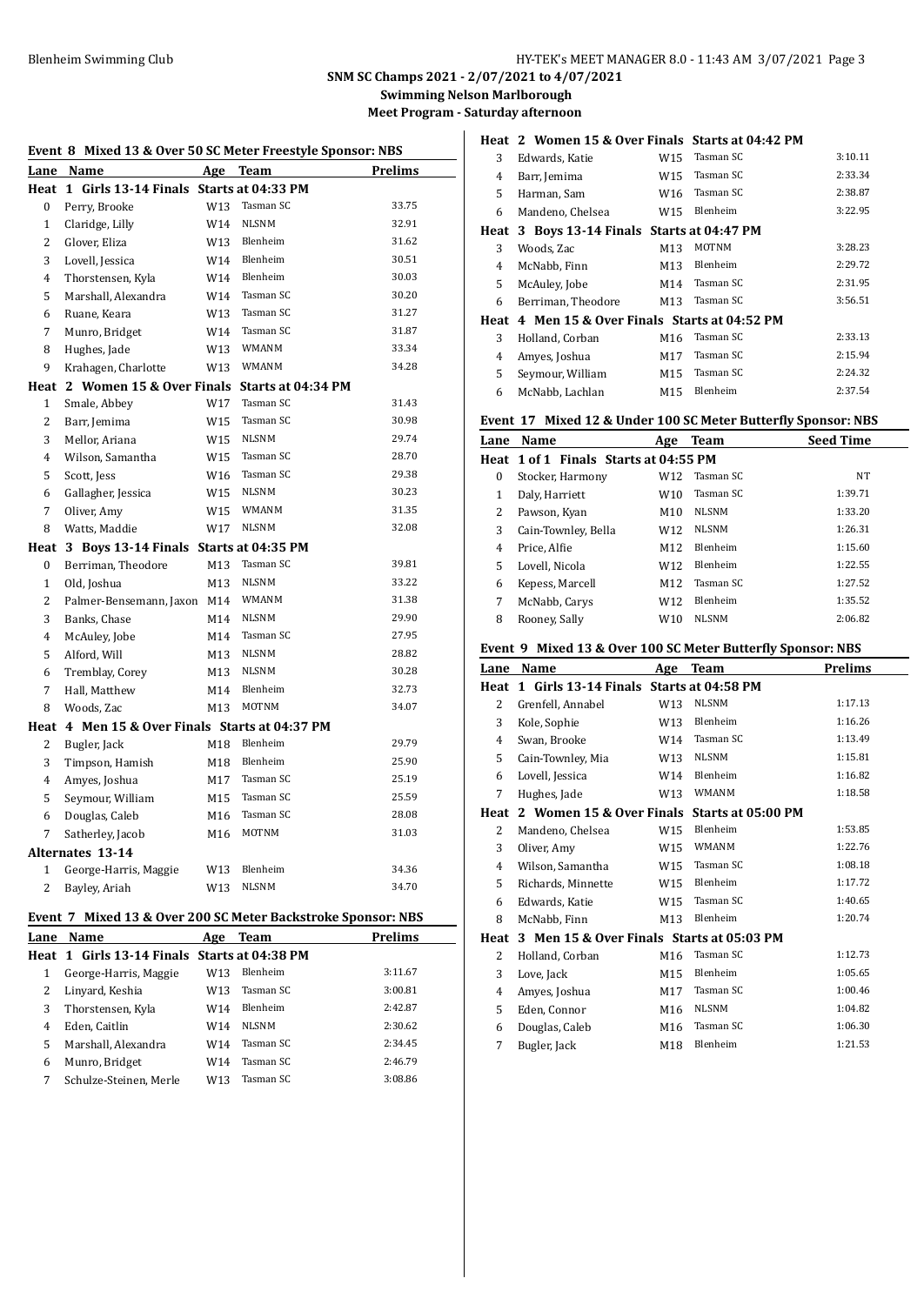**SNM SC Champs 2021 - 2/07/2021 to 4/07/2021**

**Swimming Nelson Marlborough**

**Meet Program - Saturday afternoon**

| Event 8 Mixed 13 & Over 50 SC Meter Freestyle Sponsor: NBS |                                                              |                 |              |                |  |  |  |
|------------------------------------------------------------|--------------------------------------------------------------|-----------------|--------------|----------------|--|--|--|
| Lane                                                       | Name                                                         | Age             | <b>Team</b>  | Prelims        |  |  |  |
|                                                            | Heat 1 Girls 13-14 Finals Starts at 04:33 PM                 |                 |              |                |  |  |  |
| $\Omega$                                                   | Perry, Brooke                                                | W <sub>13</sub> | Tasman SC    | 33.75          |  |  |  |
| $\mathbf{1}$                                               | Claridge, Lilly                                              | W14             | <b>NLSNM</b> | 32.91          |  |  |  |
| $\overline{c}$                                             | Glover, Eliza                                                | W13             | Blenheim     | 31.62          |  |  |  |
| 3                                                          | Lovell, Jessica                                              | W14             | Blenheim     | 30.51          |  |  |  |
| $\overline{4}$                                             | Thorstensen, Kyla                                            | W14             | Blenheim     | 30.03          |  |  |  |
| 5                                                          | Marshall, Alexandra                                          | W14             | Tasman SC    | 30.20          |  |  |  |
| 6                                                          | Ruane, Keara                                                 | W13             | Tasman SC    | 31.27          |  |  |  |
| 7                                                          | Munro, Bridget                                               | W14             | Tasman SC    | 31.87          |  |  |  |
| 8                                                          | Hughes, Jade                                                 | W13             | <b>WMANM</b> | 33.34          |  |  |  |
| 9                                                          | Krahagen, Charlotte                                          | W13             | WMANM        | 34.28          |  |  |  |
|                                                            | Heat 2 Women 15 & Over Finals Starts at 04:34 PM             |                 |              |                |  |  |  |
| 1                                                          | Smale, Abbey                                                 | W17             | Tasman SC    | 31.43          |  |  |  |
| 2                                                          | Barr, Jemima                                                 | W15             | Tasman SC    | 30.98          |  |  |  |
| 3                                                          | Mellor, Ariana                                               | W15             | <b>NLSNM</b> | 29.74          |  |  |  |
| 4                                                          | Wilson, Samantha                                             | W15             | Tasman SC    | 28.70          |  |  |  |
| 5                                                          | Scott, Jess                                                  | W16             | Tasman SC    | 29.38          |  |  |  |
| 6                                                          | Gallagher, Jessica                                           | W15             | <b>NLSNM</b> | 30.23          |  |  |  |
| 7                                                          | Oliver, Amy                                                  | W15             | WMANM        | 31.35          |  |  |  |
| 8                                                          | Watts, Maddie                                                | W17             | <b>NLSNM</b> | 32.08          |  |  |  |
|                                                            | Heat 3 Boys 13-14 Finals Starts at 04:35 PM                  |                 |              |                |  |  |  |
| $\boldsymbol{0}$                                           | Berriman, Theodore                                           | M13             | Tasman SC    | 39.81          |  |  |  |
| $\mathbf{1}$                                               | Old, Joshua                                                  | M13             | <b>NLSNM</b> | 33.22          |  |  |  |
| $\overline{c}$                                             | Palmer-Bensemann, Jaxon                                      | M14             | WMANM        | 31.38          |  |  |  |
| 3                                                          | Banks, Chase                                                 | M14             | <b>NLSNM</b> | 29.90          |  |  |  |
| 4                                                          | McAuley, Jobe                                                | M14             | Tasman SC    | 27.95          |  |  |  |
| 5                                                          | Alford, Will                                                 | M13             | <b>NLSNM</b> | 28.82          |  |  |  |
| 6                                                          | Tremblay, Corey                                              | M13             | <b>NLSNM</b> | 30.28          |  |  |  |
| 7                                                          | Hall, Matthew                                                | M14             | Blenheim     | 32.73          |  |  |  |
| 8                                                          | Woods, Zac                                                   | M13             | <b>MOTNM</b> | 34.07          |  |  |  |
| Heat                                                       | 4 Men 15 & Over Finals Starts at 04:37 PM                    |                 |              |                |  |  |  |
| 2                                                          | Bugler, Jack                                                 | M18             | Blenheim     | 29.79          |  |  |  |
| 3                                                          | Timpson, Hamish                                              | M18             | Blenheim     | 25.90          |  |  |  |
| $\overline{4}$                                             | Amyes, Joshua                                                | M17             | Tasman SC    | 25.19          |  |  |  |
| 5                                                          | Seymour, William                                             | M15             | Tasman SC    | 25.59          |  |  |  |
| 6                                                          | Douglas, Caleb                                               | M16             | Tasman SC    | 28.08          |  |  |  |
| 7                                                          | Satherley, Jacob                                             | M16             | <b>MOTNM</b> | 31.03          |  |  |  |
|                                                            | <b>Alternates 13-14</b>                                      |                 |              |                |  |  |  |
| $\mathbf{1}$                                               | George-Harris, Maggie                                        | W13             | Blenheim     | 34.36          |  |  |  |
| $\overline{c}$                                             | Bayley, Ariah                                                | W <sub>13</sub> | <b>NLSNM</b> | 34.70          |  |  |  |
|                                                            | Event 7 Mixed 13 & Over 200 SC Meter Backstroke Sponsor: NBS |                 |              |                |  |  |  |
| Lane                                                       | Name                                                         | Age             | Team         | <b>Prelims</b> |  |  |  |

| Lalle | маше                                         | нце | теаш      | гтеншэ  |
|-------|----------------------------------------------|-----|-----------|---------|
|       | Heat 1 Girls 13-14 Finals Starts at 04:38 PM |     |           |         |
|       | George-Harris, Maggie                        | W13 | Blenheim  | 3:11.67 |
|       | Linyard, Keshia                              | W13 | Tasman SC | 3:00.81 |
| 3     | Thorstensen, Kyla                            | W14 | Blenheim  | 2:42.87 |
| 4     | Eden, Caitlin                                | W14 | NLSNM     | 2:30.62 |
| 5     | Marshall, Alexandra                          | W14 | Tasman SC | 2:34.45 |
| 6     | Munro, Bridget                               | W14 | Tasman SC | 2:46.79 |
|       | Schulze-Steinen, Merle                       | W13 | Tasman SC | 3:08.86 |
|       |                                              |     |           |         |

|      | Heat 2 Women 15 & Over Finals Starts at 04:42 PM |     |              |         |
|------|--------------------------------------------------|-----|--------------|---------|
| 3    | Edwards, Katie                                   | W15 | Tasman SC    | 3:10.11 |
| 4    | Barr, Jemima                                     | W15 | Tasman SC    | 2:33.34 |
| 5    | Harman, Sam                                      | W16 | Tasman SC    | 2:38.87 |
| 6    | Mandeno, Chelsea                                 | W15 | Blenheim     | 3:22.95 |
|      | Heat 3 Boys 13-14 Finals Starts at 04:47 PM      |     |              |         |
| 3    | Woods, Zac                                       | M13 | <b>MOTNM</b> | 3:28.23 |
| 4    | McNabb, Finn                                     | M13 | Blenheim     | 2:29.72 |
| 5    | McAuley, Jobe                                    | M14 | Tasman SC    | 2:31.95 |
| 6    | Berriman, Theodore                               | M13 | Tasman SC    | 3:56.51 |
| Heat | 4 Men 15 & Over Finals Starts at 04:52 PM        |     |              |         |
| 3    | Holland, Corban                                  | M16 | Tasman SC    | 2:33.13 |
| 4    | Amyes, Joshua                                    | M17 | Tasman SC    | 2:15.94 |
| 5    | Seymour, William                                 | M15 | Tasman SC    | 2:24.32 |
| 6    | McNabb, Lachlan                                  | M15 | Blenheim     | 2:37.54 |

## **Event 17 Mixed 12 & Under 100 SC Meter Butterfly Sponsor: NBS**

| Lane | Name                                  | Age             | Team         | <b>Seed Time</b> |
|------|---------------------------------------|-----------------|--------------|------------------|
|      | Heat 1 of 1 Finals Starts at 04:55 PM |                 |              |                  |
| 0    | Stocker, Harmony                      | W12             | Tasman SC    | NT               |
| 1    | Daly, Harriett                        | W <sub>10</sub> | Tasman SC    | 1:39.71          |
| 2    | Pawson, Kyan                          | M10             | <b>NLSNM</b> | 1:33.20          |
| 3    | Cain-Townley, Bella                   | W12             | <b>NLSNM</b> | 1:26.31          |
| 4    | Price, Alfie                          | M12             | Blenheim     | 1:15.60          |
| 5    | Lovell, Nicola                        | W <sub>12</sub> | Blenheim     | 1:22.55          |
| 6    | Kepess, Marcell                       | M12             | Tasman SC    | 1:27.52          |
| 7    | McNabb, Carys                         | W12             | Blenheim     | 1:35.52          |
| 8    | Rooney, Sally                         | W10             | <b>NLSNM</b> | 2:06.82          |

## **Event 9 Mixed 13 & Over 100 SC Meter Butterfly Sponsor: NBS**

| <u>Lane</u>    | <b>Name</b>                                | <b>Age</b> | <b>Team</b>        | Prelims |
|----------------|--------------------------------------------|------------|--------------------|---------|
| Heat           | Girls 13-14 Finals Starts at 04:58 PM<br>1 |            |                    |         |
| 2              | Grenfell, Annabel                          | W13        | <b>NLSNM</b>       | 1:17.13 |
| 3              | Kole, Sophie                               | W13        | Blenheim           | 1:16.26 |
| 4              | Swan, Brooke                               | W14        | Tasman SC          | 1:13.49 |
| 5              | Cain-Townley, Mia                          | W13        | <b>NLSNM</b>       | 1:15.81 |
| 6              | Lovell, Jessica                            | W14        | Blenheim           | 1:16.82 |
| 7              | Hughes, Jade                               | W13        | <b>WMANM</b>       | 1:18.58 |
| Heat           | 2 Women 15 & Over Finals                   |            | Starts at 05:00 PM |         |
| $\overline{2}$ | Mandeno, Chelsea                           | W15        | Blenheim           | 1:53.85 |
| 3              | Oliver, Amy                                | W15        | <b>WMANM</b>       | 1:22.76 |
| 4              | Wilson, Samantha                           | W15        | Tasman SC          | 1:08.18 |
| 5              | Richards, Minnette                         | W15        | Blenheim           | 1:17.72 |
| 6              | Edwards, Katie                             | W15        | Tasman SC          | 1:40.65 |
| 8              | McNabb, Finn                               | M13        | Blenheim           | 1:20.74 |
| Heat           | 3 Men 15 & Over Finals Starts at 05:03 PM  |            |                    |         |
| 2              | Holland, Corban                            | M16        | Tasman SC          | 1:12.73 |
| 3              | Love, Jack                                 | M15        | Blenheim           | 1:05.65 |
| 4              | Amyes, Joshua                              | M17        | Tasman SC          | 1:00.46 |
| 5              | Eden, Connor                               | M16        | <b>NLSNM</b>       | 1:04.82 |
| 6              | Douglas, Caleb                             | M16        | Tasman SC          | 1:06.30 |
| 7              | Bugler, Jack                               | M18        | Blenheim           | 1:21.53 |
|                |                                            |            |                    |         |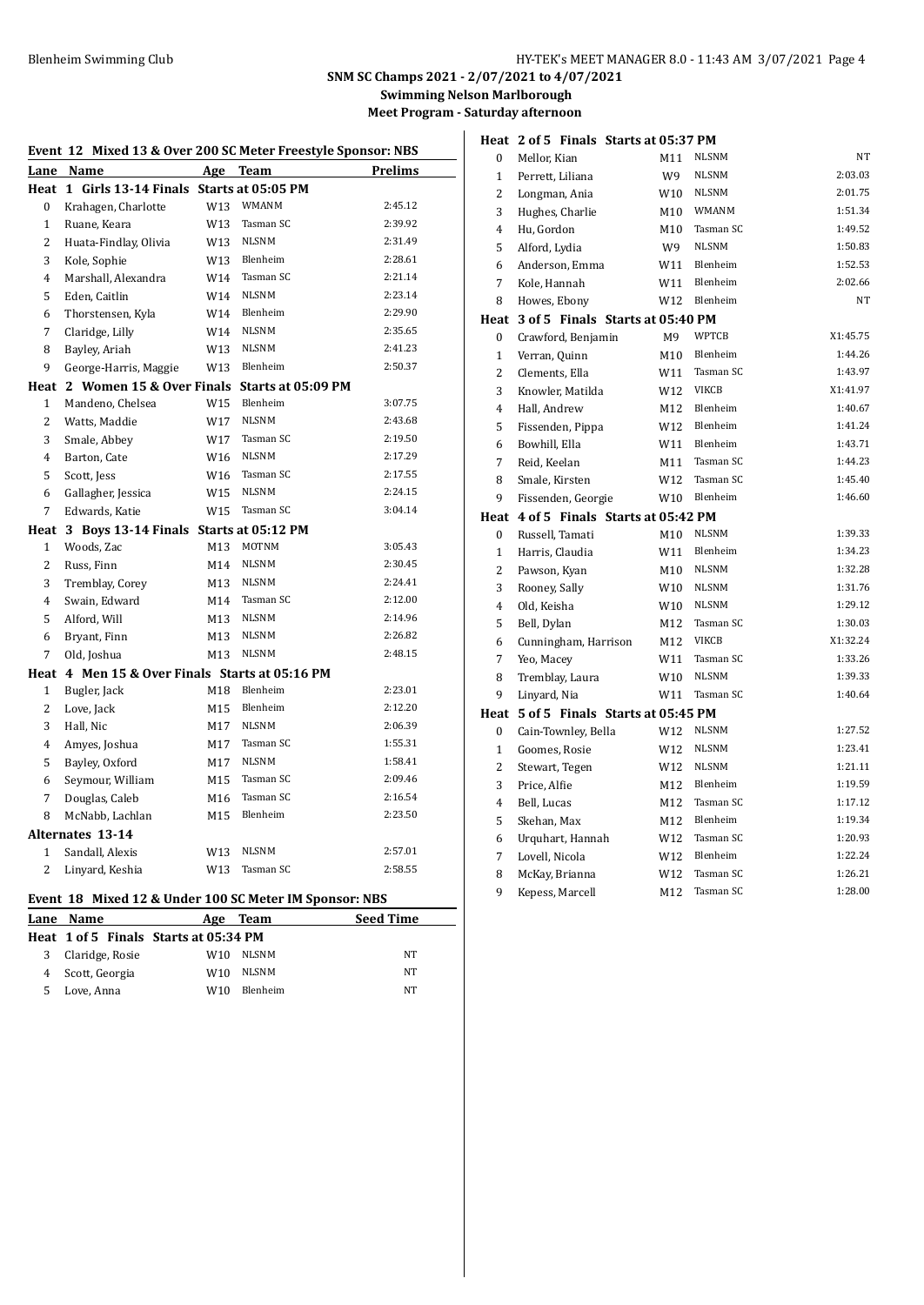#### **SNM SC Champs 2021 - 2/07/2021 to 4/07/2021**

**Swimming Nelson Marlborough**

**Meet Program - Saturday afternoon**

| Event 12 Mixed 13 & Over 200 SC Meter Freestyle Sponsor: NBS |                                                                  |     |                    |         |  |  |  |
|--------------------------------------------------------------|------------------------------------------------------------------|-----|--------------------|---------|--|--|--|
| Lane                                                         | Name                                                             | Age | <b>Team</b>        | Prelims |  |  |  |
|                                                              | Heat 1 Girls 13-14 Finals Starts at 05:05 PM                     |     |                    |         |  |  |  |
| 0                                                            | Krahagen, Charlotte                                              | W13 | <b>WMANM</b>       | 2:45.12 |  |  |  |
| $\mathbf{1}$                                                 | Ruane, Keara                                                     | W13 | Tasman SC          | 2:39.92 |  |  |  |
| $\overline{c}$                                               | Huata-Findlay, Olivia                                            | W13 | <b>NLSNM</b>       | 2:31.49 |  |  |  |
| 3                                                            | Kole, Sophie                                                     | W13 | Blenheim           | 2:28.61 |  |  |  |
| $\overline{4}$                                               | Marshall, Alexandra                                              | W14 | Tasman SC          | 2:21.14 |  |  |  |
| 5                                                            | Eden, Caitlin                                                    | W14 | <b>NLSNM</b>       | 2:23.14 |  |  |  |
| 6                                                            | Thorstensen, Kyla                                                | W14 | Blenheim           | 2:29.90 |  |  |  |
| 7                                                            | Claridge, Lilly                                                  | W14 | <b>NLSNM</b>       | 2:35.65 |  |  |  |
| 8                                                            | Bayley, Ariah                                                    | W13 | <b>NLSNM</b>       | 2:41.23 |  |  |  |
| 9                                                            | George-Harris, Maggie                                            | W13 | Blenheim           | 2:50.37 |  |  |  |
| Heat                                                         | 2 Women 15 & Over Finals                                         |     | Starts at 05:09 PM |         |  |  |  |
| $\mathbf{1}$                                                 | Mandeno, Chelsea                                                 | W15 | Blenheim           | 3:07.75 |  |  |  |
| 2                                                            | Watts, Maddie                                                    | W17 | <b>NLSNM</b>       | 2:43.68 |  |  |  |
| 3                                                            | Smale, Abbey                                                     | W17 | Tasman SC          | 2:19.50 |  |  |  |
| $\overline{4}$                                               | Barton, Cate                                                     | W16 | <b>NLSNM</b>       | 2:17.29 |  |  |  |
| 5                                                            | Scott, Jess                                                      | W16 | Tasman SC          | 2:17.55 |  |  |  |
| 6                                                            | Gallagher, Jessica                                               | W15 | <b>NLSNM</b>       | 2:24.15 |  |  |  |
| 7                                                            | Edwards, Katie                                                   | W15 | Tasman SC          | 3:04.14 |  |  |  |
| Heat                                                         | 3 Boys 13-14 Finals Starts at 05:12 PM                           |     |                    |         |  |  |  |
| $\mathbf{1}$                                                 | Woods, Zac                                                       | M13 | <b>MOTNM</b>       | 3:05.43 |  |  |  |
| 2                                                            | Russ, Finn                                                       | M14 | <b>NLSNM</b>       | 2:30.45 |  |  |  |
| 3                                                            | Tremblay, Corey                                                  | M13 | <b>NLSNM</b>       | 2:24.41 |  |  |  |
| 4                                                            | Swain, Edward                                                    | M14 | Tasman SC          | 2:12.00 |  |  |  |
| 5                                                            | Alford, Will                                                     | M13 | <b>NLSNM</b>       | 2:14.96 |  |  |  |
| 6                                                            | Bryant, Finn                                                     | M13 | <b>NLSNM</b>       | 2:26.82 |  |  |  |
| 7                                                            | Old, Joshua                                                      | M13 | <b>NLSNM</b>       | 2:48.15 |  |  |  |
| Heat                                                         | 4 Men 15 & Over Finals Starts at 05:16 PM                        |     |                    |         |  |  |  |
| $\mathbf{1}$                                                 | Bugler, Jack                                                     | M18 | Blenheim           | 2:23.01 |  |  |  |
| $\overline{2}$                                               | Love, Jack                                                       | M15 | Blenheim           | 2:12.20 |  |  |  |
| 3                                                            | Hall, Nic                                                        | M17 | <b>NLSNM</b>       | 2:06.39 |  |  |  |
| 4                                                            | Amyes, Joshua                                                    | M17 | Tasman SC          | 1:55.31 |  |  |  |
| 5                                                            | Bayley, Oxford                                                   | M17 | <b>NLSNM</b>       | 1:58.41 |  |  |  |
| 6                                                            | Seymour, William                                                 | M15 | Tasman SC          | 2:09.46 |  |  |  |
| 7                                                            | Douglas, Caleb                                                   | M16 | Tasman SC          | 2:16.54 |  |  |  |
| 8                                                            | McNabb, Lachlan                                                  | M15 | Blenheim           | 2:23.50 |  |  |  |
|                                                              | <b>Alternates 13-14</b>                                          |     |                    |         |  |  |  |
| $\mathbf{1}$                                                 | Sandall, Alexis                                                  | W13 | <b>NLSNM</b>       | 2:57.01 |  |  |  |
| $\overline{c}$                                               | Linyard, Keshia                                                  | W13 | Tasman SC          | 2:58.55 |  |  |  |
|                                                              |                                                                  |     |                    |         |  |  |  |
|                                                              | Event 18 Mixed 12 & Under 100 SC Meter IM Sponsor: NBS<br>a mar- |     |                    |         |  |  |  |

|   | Lane Name                             | Age | Team     | <b>Seed Time</b> |
|---|---------------------------------------|-----|----------|------------------|
|   | Heat 1 of 5 Finals Starts at 05:34 PM |     |          |                  |
| 3 | Claridge, Rosie                       | W10 | NLSNM    | NT               |
|   | 4 Scott, Georgia                      | W10 | NLSNM    | NT               |
| 5 | Love. Anna                            | W10 | Blenheim | NT               |

|                  | Heat 2 of 5 Finals Starts at 05:37 PM |     |              |           |
|------------------|---------------------------------------|-----|--------------|-----------|
| $\bf{0}$         | Mellor, Kian                          | M11 | <b>NLSNM</b> | NT        |
| $\mathbf{1}$     | Perrett, Liliana                      | W9  | <b>NLSNM</b> | 2:03.03   |
| $\overline{c}$   | Longman, Ania                         | W10 | NLSNM        | 2:01.75   |
| 3                | Hughes, Charlie                       | M10 | <b>WMANM</b> | 1:51.34   |
| 4                | Hu, Gordon                            | M10 | Tasman SC    | 1:49.52   |
| 5                | Alford, Lydia                         | W9  | <b>NLSNM</b> | 1:50.83   |
| 6                | Anderson, Emma                        | W11 | Blenheim     | 1:52.53   |
| $\overline{7}$   | Kole, Hannah                          | W11 | Blenheim     | 2:02.66   |
| 8                | Howes, Ebony                          | W12 | Blenheim     | <b>NT</b> |
|                  | Heat 3 of 5 Finals Starts at 05:40 PM |     |              |           |
| $\mathbf{0}$     | Crawford, Benjamin                    | M9  | <b>WPTCB</b> | X1:45.75  |
| $\mathbf{1}$     | Verran, Quinn                         | M10 | Blenheim     | 1:44.26   |
| $\overline{c}$   | Clements, Ella                        | W11 | Tasman SC    | 1:43.97   |
| 3                | Knowler, Matilda                      | W12 | <b>VIKCB</b> | X1:41.97  |
| $\overline{4}$   | Hall, Andrew                          | M12 | Blenheim     | 1:40.67   |
| 5                | Fissenden, Pippa                      | W12 | Blenheim     | 1:41.24   |
| 6                | Bowhill, Ella                         | W11 | Blenheim     | 1:43.71   |
| 7                | Reid, Keelan                          | M11 | Tasman SC    | 1:44.23   |
| 8                | Smale, Kirsten                        | W12 | Tasman SC    | 1:45.40   |
| 9                | Fissenden, Georgie                    | W10 | Blenheim     | 1:46.60   |
| Heat             | 4 of 5 Finals Starts at 05:42 PM      |     |              |           |
| 0                | Russell, Tamati                       | M10 | <b>NLSNM</b> | 1:39.33   |
| $\mathbf{1}$     | Harris, Claudia                       | W11 | Blenheim     | 1:34.23   |
| 2                | Pawson, Kyan                          | M10 | <b>NLSNM</b> | 1:32.28   |
| 3                | Rooney, Sally                         | W10 | <b>NLSNM</b> | 1:31.76   |
| $\overline{4}$   | Old, Keisha                           | W10 | <b>NLSNM</b> | 1:29.12   |
| 5                | Bell, Dylan                           | M12 | Tasman SC    | 1:30.03   |
| 6                | Cunningham, Harrison                  | M12 | <b>VIKCB</b> | X1:32.24  |
| 7                | Yeo, Macey                            | W11 | Tasman SC    | 1:33.26   |
| 8                | Tremblay, Laura                       | W10 | <b>NLSNM</b> | 1:39.33   |
| 9                | Linyard, Nia                          | W11 | Tasman SC    | 1:40.64   |
|                  | Heat 5 of 5 Finals Starts at 05:45 PM |     |              |           |
| $\boldsymbol{0}$ | Cain-Townley, Bella                   | W12 | <b>NLSNM</b> | 1:27.52   |
| $\mathbf{1}$     | Goomes, Rosie                         | W12 | <b>NLSNM</b> | 1:23.41   |
| $\overline{2}$   | Stewart, Tegen                        | W12 | <b>NLSNM</b> | 1:21.11   |
| 3                | Price, Alfie                          | M12 | Blenheim     | 1:19.59   |
| 4                | Bell, Lucas                           | M12 | Tasman SC    | 1:17.12   |
| 5                | Skehan, Max                           | M12 | Blenheim     | 1:19.34   |
| 6                | Urquhart, Hannah                      | W12 | Tasman SC    | 1:20.93   |
| 7                | Lovell, Nicola                        | W12 | Blenheim     | 1:22.24   |
| 8                | McKay, Brianna                        | W12 | Tasman SC    | 1:26.21   |
| 9                | Kepess, Marcell                       | M12 | Tasman SC    | 1:28.00   |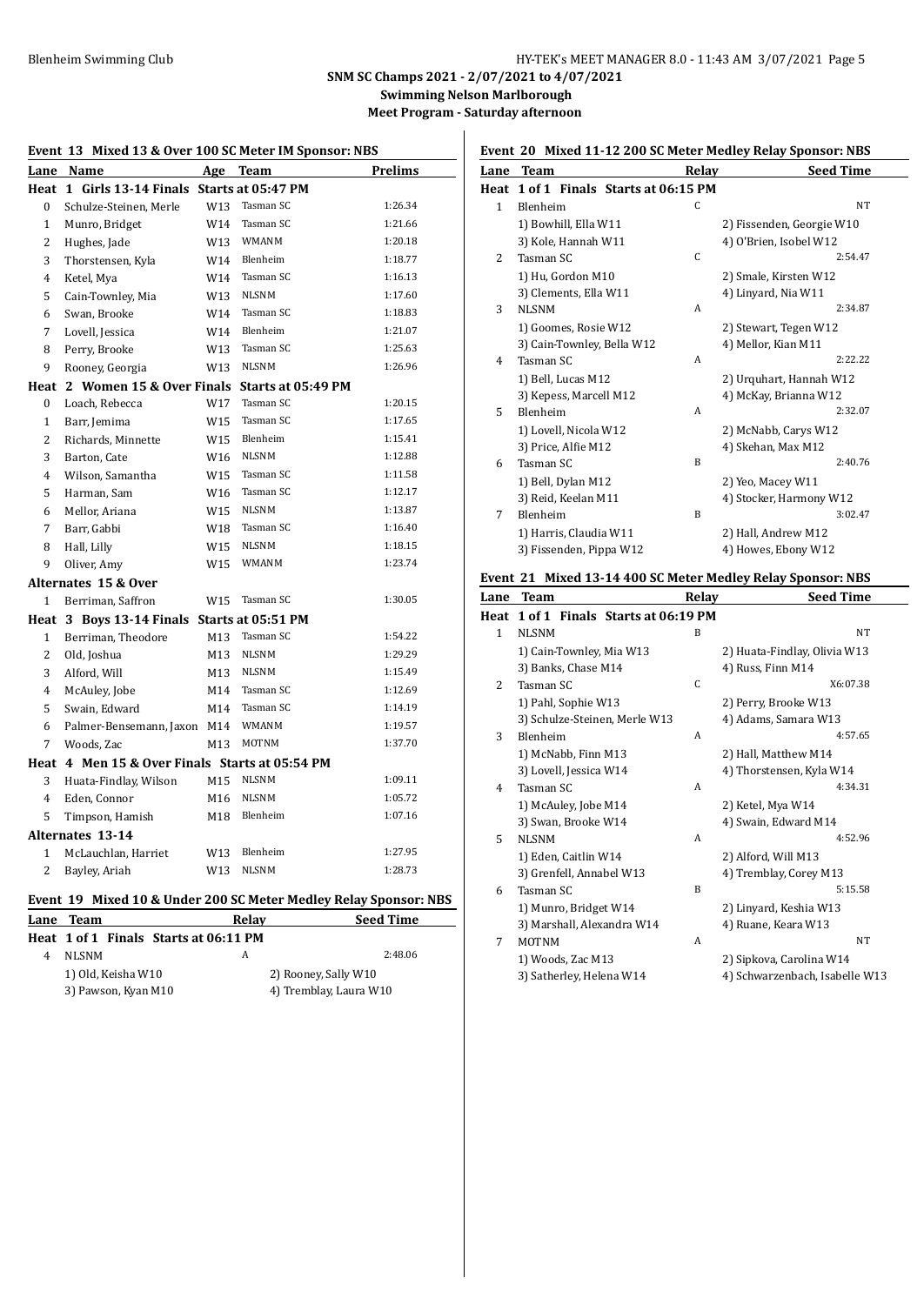# Blenheim Swimming Club **HY-TEK's MEET MANAGER 8.0 - 11:43 AM 3/07/2021** Page 5

**SNM SC Champs 2021 - 2/07/2021 to 4/07/2021**

**Swimming Nelson Marlborough Meet Program - Saturday afternoon**

|  | Event 13 Mixed 13 & Over 100 SC Meter IM Sponsor: NBS |
|--|-------------------------------------------------------|
|--|-------------------------------------------------------|

|                | Lane Name                                      | Age             | <b>Team</b>  | Prelims |
|----------------|------------------------------------------------|-----------------|--------------|---------|
|                | Heat 1 Girls 13-14 Finals Starts at 05:47 PM   |                 |              |         |
| $\mathbf{0}$   | Schulze-Steinen, Merle                         | W13             | Tasman SC    | 1:26.34 |
| $\mathbf{1}$   | Munro, Bridget                                 | W14             | Tasman SC    | 1:21.66 |
| $\overline{c}$ | Hughes, Jade                                   | W13             | WMANM        | 1:20.18 |
| 3              | Thorstensen, Kyla                              | W14             | Blenheim     | 1:18.77 |
| 4              | Ketel, Mya                                     | W14             | Tasman SC    | 1:16.13 |
| 5              | Cain-Townley, Mia                              | W13             | <b>NLSNM</b> | 1:17.60 |
| 6              | Swan, Brooke                                   | W14             | Tasman SC    | 1:18.83 |
| 7              | Lovell, Jessica                                | W14             | Blenheim     | 1:21.07 |
| 8              | Perry, Brooke                                  | W13             | Tasman SC    | 1:25.63 |
| 9              | Rooney, Georgia                                | W13             | <b>NLSNM</b> | 1:26.96 |
| Heat           | 2 Women 15 & Over Finals Starts at 05:49 PM    |                 |              |         |
| $\mathbf{0}$   | Loach, Rebecca                                 | W17             | Tasman SC    | 1:20.15 |
| $\mathbf{1}$   | Barr, Jemima                                   | W15             | Tasman SC    | 1:17.65 |
| $\overline{2}$ | Richards, Minnette                             | W15             | Blenheim     | 1:15.41 |
| 3              | Barton, Cate                                   | W <sub>16</sub> | <b>NLSNM</b> | 1:12.88 |
| $\overline{4}$ | Wilson, Samantha                               | W15             | Tasman SC    | 1:11.58 |
| 5              | Harman, Sam                                    | W16             | Tasman SC    | 1:12.17 |
| 6              | Mellor, Ariana                                 | W15             | <b>NLSNM</b> | 1:13.87 |
| 7              | Barr, Gabbi                                    | W18             | Tasman SC    | 1:16.40 |
| 8              | Hall, Lilly                                    | W15             | <b>NLSNM</b> | 1:18.15 |
| 9              | Oliver, Amy                                    | W15             | <b>WMANM</b> | 1:23.74 |
|                | Alternates 15 & Over                           |                 |              |         |
| 1              | Berriman, Saffron                              | W15             | Tasman SC    | 1:30.05 |
|                | Heat 3 Boys 13-14 Finals Starts at 05:51 PM    |                 |              |         |
| $\mathbf{1}$   | Berriman, Theodore                             | M13             | Tasman SC    | 1:54.22 |
| $\overline{2}$ | Old, Joshua                                    | M <sub>13</sub> | <b>NLSNM</b> | 1:29.29 |
| 3              | Alford, Will                                   | M13             | <b>NLSNM</b> | 1:15.49 |
| $\overline{4}$ | McAuley, Jobe                                  | M14             | Tasman SC    | 1:12.69 |
| 5              | Swain, Edward                                  | M14             | Tasman SC    | 1:14.19 |
| 6              | Palmer-Bensemann, Jaxon                        | M14             | <b>WMANM</b> | 1:19.57 |
| 7              | Woods, Zac                                     | M13             | <b>MOTNM</b> | 1:37.70 |
|                | Heat 4 Men 15 & Over Finals Starts at 05:54 PM |                 |              |         |
| 3              | Huata-Findlay, Wilson                          | M15             | <b>NLSNM</b> | 1:09.11 |
| $\overline{4}$ | Eden, Connor                                   | M16             | <b>NLSNM</b> | 1:05.72 |
| 5              | Timpson, Hamish                                | M18             | Blenheim     | 1:07.16 |
|                | <b>Alternates 13-14</b>                        |                 |              |         |
| $\mathbf{1}$   | McLauchlan, Harriet                            | W13             | Blenheim     | 1:27.95 |
| $\overline{c}$ | Bayley, Ariah                                  | W13             | <b>NLSNM</b> | 1:28.73 |
|                |                                                |                 |              |         |

# **Event 19 Mixed 10 & Under 200 SC Meter Medley Relay Sponsor: NBS**

| <b>Lane Team</b>                      | Relav                  | <b>Seed Time</b> |
|---------------------------------------|------------------------|------------------|
| Heat 1 of 1 Finals Starts at 06:11 PM |                        |                  |
| <b>NLSNM</b>                          | А                      | 2:48.06          |
| 1) Old, Keisha W10                    | 2) Rooney, Sally W10   |                  |
| 3) Pawson, Kyan M10                   | 4) Tremblay, Laura W10 |                  |

|  | Event 20 Mixed 11-12 200 SC Meter Medley Relay Sponsor: NBS |  |  |
|--|-------------------------------------------------------------|--|--|
|  |                                                             |  |  |

| Lane         | <b>Team</b>                           | Relay        | <b>Seed Time</b>          |
|--------------|---------------------------------------|--------------|---------------------------|
|              | Heat 1 of 1 Finals Starts at 06:15 PM |              |                           |
| $\mathbf{1}$ | Blenheim                              | C            | <b>NT</b>                 |
|              | 1) Bowhill, Ella W11                  |              | 2) Fissenden, Georgie W10 |
|              | 3) Kole, Hannah W11                   |              | 4) O'Brien, Isobel W12    |
| 2            | Tasman SC                             | $\mathsf{C}$ | 2:54.47                   |
|              | 1) Hu, Gordon M10                     |              | 2) Smale, Kirsten W12     |
|              | 3) Clements, Ella W11                 |              | 4) Linyard, Nia W11       |
| 3            | <b>NLSNM</b>                          | A            | 2:34.87                   |
|              | 1) Goomes, Rosie W12                  |              | 2) Stewart, Tegen W12     |
|              | 3) Cain-Townley, Bella W12            |              | 4) Mellor, Kian M11       |
| 4            | Tasman SC                             | A            | 2:22.22                   |
|              | 1) Bell, Lucas M12                    |              | 2) Urquhart, Hannah W12   |
|              | 3) Kepess, Marcell M12                |              | 4) McKay, Brianna W12     |
| 5            | <b>Blenheim</b>                       | A            | 2:32.07                   |
|              | 1) Lovell, Nicola W12                 |              | 2) McNabb, Carys W12      |
|              | 3) Price, Alfie M12                   |              | 4) Skehan, Max M12        |
| 6            | Tasman SC                             | <sub>B</sub> | 2:40.76                   |
|              | 1) Bell, Dylan M12                    |              | 2) Yeo, Macey W11         |
|              | 3) Reid, Keelan M11                   |              | 4) Stocker, Harmony W12   |
| 7            | Blenheim                              | B            | 3:02.47                   |
|              | 1) Harris, Claudia W11                |              | 2) Hall, Andrew M12       |
|              | 3) Fissenden, Pippa W12               |              | 4) Howes, Ebony W12       |
|              |                                       |              |                           |

#### **Event 21 Mixed 13-14 400 SC Meter Medley Relay Sponsor: NBS**

| Lane         | <b>Team</b>                           | Relay | <b>Seed Time</b>               |
|--------------|---------------------------------------|-------|--------------------------------|
|              | Heat 1 of 1 Finals Starts at 06:19 PM |       |                                |
| $\mathbf{1}$ | <b>NLSNM</b>                          | B     | <b>NT</b>                      |
|              | 1) Cain-Townley, Mia W13              |       | 2) Huata-Findlay, Olivia W13   |
|              | 3) Banks, Chase M14                   |       | 4) Russ, Finn M14              |
| 2            | Tasman SC                             | C     | X6:07.38                       |
|              | 1) Pahl, Sophie W13                   |       | 2) Perry, Brooke W13           |
|              | 3) Schulze-Steinen, Merle W13         |       | 4) Adams, Samara W13           |
| 3            | Blenheim                              | A     | 4:57.65                        |
|              | 1) McNabb, Finn M13                   |       | 2) Hall, Matthew M14           |
|              | 3) Lovell, Jessica W14                |       | 4) Thorstensen, Kyla W14       |
| 4            | Tasman SC                             | A     | 4:34.31                        |
|              | 1) McAuley, Jobe M14                  |       | 2) Ketel, Mya W14              |
|              | 3) Swan, Brooke W14                   |       | 4) Swain, Edward M14           |
| 5            | <b>NLSNM</b>                          | A     | 4:52.96                        |
|              | 1) Eden, Caitlin W14                  |       | 2) Alford, Will M13            |
|              | 3) Grenfell, Annabel W13              |       | 4) Tremblay, Corey M13         |
| 6            | Tasman SC                             | B     | 5:15.58                        |
|              | 1) Munro, Bridget W14                 |       | 2) Linyard, Keshia W13         |
|              | 3) Marshall, Alexandra W14            |       | 4) Ruane, Keara W13            |
| 7            | <b>MOTNM</b>                          | A     | <b>NT</b>                      |
|              | 1) Woods, Zac M13                     |       | 2) Sipkova, Carolina W14       |
|              | 3) Satherley, Helena W14              |       | 4) Schwarzenbach, Isabelle W13 |
|              |                                       |       |                                |